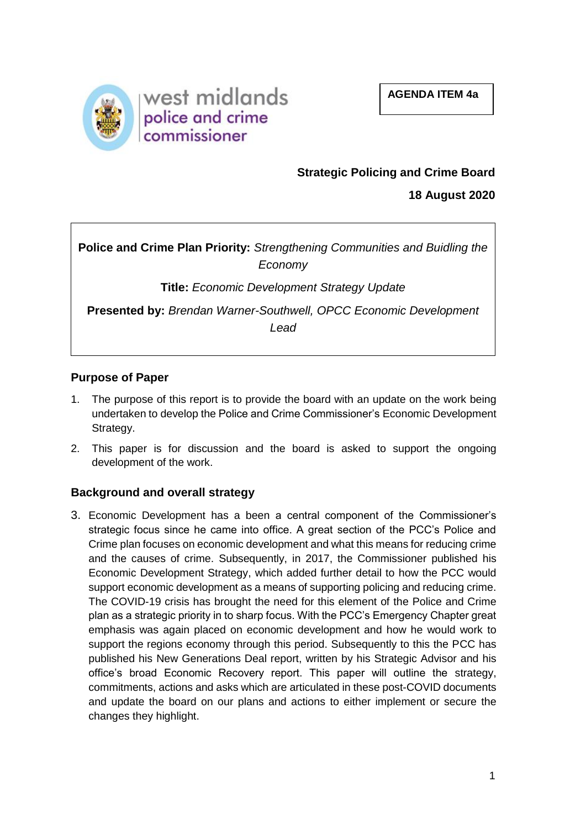**AGENDA ITEM 4a**



# **Strategic Policing and Crime Board**

**18 August 2020**

**Police and Crime Plan Priority:** *Strengthening Communities and Buidling the Economy*

**Title:** *Economic Development Strategy Update*

**Presented by:** *Brendan Warner-Southwell, OPCC Economic Development Lead*

## **Purpose of Paper**

- 1. The purpose of this report is to provide the board with an update on the work being undertaken to develop the Police and Crime Commissioner's Economic Development Strategy.
- 2. This paper is for discussion and the board is asked to support the ongoing development of the work.

## **Background and overall strategy**

3. Economic Development has a been a central component of the Commissioner's strategic focus since he came into office. A great section of the PCC's Police and Crime plan focuses on economic development and what this means for reducing crime and the causes of crime. Subsequently, in 2017, the Commissioner published his Economic Development Strategy, which added further detail to how the PCC would support economic development as a means of supporting policing and reducing crime. The COVID-19 crisis has brought the need for this element of the Police and Crime plan as a strategic priority in to sharp focus. With the PCC's Emergency Chapter great emphasis was again placed on economic development and how he would work to support the regions economy through this period. Subsequently to this the PCC has published his New Generations Deal report, written by his Strategic Advisor and his office's broad Economic Recovery report. This paper will outline the strategy, commitments, actions and asks which are articulated in these post-COVID documents and update the board on our plans and actions to either implement or secure the changes they highlight.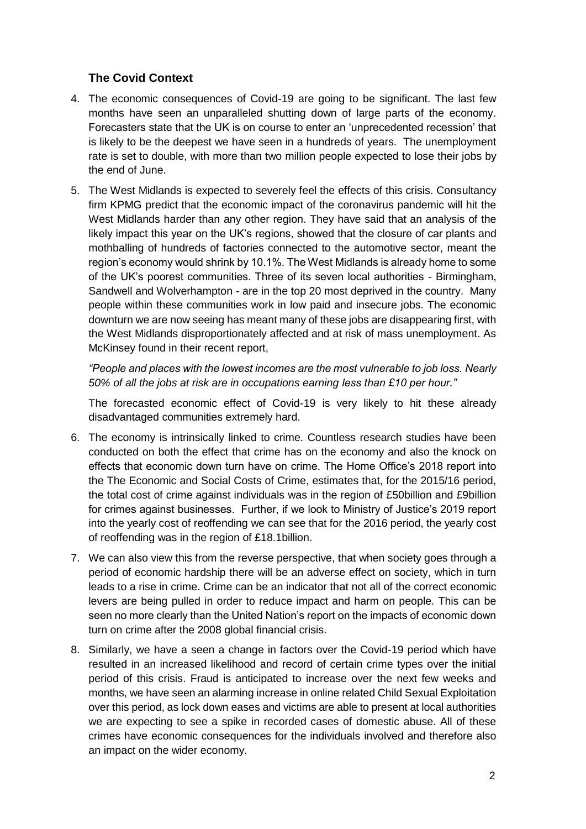# **The Covid Context**

- 4. The economic consequences of Covid-19 are going to be significant. The last few months have seen an unparalleled shutting down of large parts of the economy. Forecasters state that the UK is on course to enter an 'unprecedented recession' that is likely to be the deepest we have seen in a hundreds of years. The unemployment rate is set to double, with more than two million people expected to lose their jobs by the end of June.
- 5. The West Midlands is expected to severely feel the effects of this crisis. Consultancy firm KPMG predict that the economic impact of the coronavirus pandemic will hit the West Midlands harder than any other region. They have said that an analysis of the likely impact this year on the UK's regions, showed that the closure of car plants and mothballing of hundreds of factories connected to the automotive sector, meant the region's economy would shrink by 10.1%. The West Midlands is already home to some of the UK's poorest communities. Three of its seven local authorities - Birmingham, Sandwell and Wolverhampton - are in the top 20 most deprived in the country. Many people within these communities work in low paid and insecure jobs. The economic downturn we are now seeing has meant many of these jobs are disappearing first, with the West Midlands disproportionately affected and at risk of mass unemployment. As McKinsey found in their recent report,

*"People and places with the lowest incomes are the most vulnerable to job loss. Nearly 50% of all the jobs at risk are in occupations earning less than £10 per hour."* 

The forecasted economic effect of Covid-19 is very likely to hit these already disadvantaged communities extremely hard.

- 6. The economy is intrinsically linked to crime. Countless research studies have been conducted on both the effect that crime has on the economy and also the knock on effects that economic down turn have on crime. The Home Office's 2018 report into the The Economic and Social Costs of Crime, estimates that, for the 2015/16 period, the total cost of crime against individuals was in the region of £50billion and £9billion for crimes against businesses. Further, if we look to Ministry of Justice's 2019 report into the yearly cost of reoffending we can see that for the 2016 period, the yearly cost of reoffending was in the region of £18.1billion.
- 7. We can also view this from the reverse perspective, that when society goes through a period of economic hardship there will be an adverse effect on society, which in turn leads to a rise in crime. Crime can be an indicator that not all of the correct economic levers are being pulled in order to reduce impact and harm on people. This can be seen no more clearly than the United Nation's report on the impacts of economic down turn on crime after the 2008 global financial crisis.
- 8. Similarly, we have a seen a change in factors over the Covid-19 period which have resulted in an increased likelihood and record of certain crime types over the initial period of this crisis. Fraud is anticipated to increase over the next few weeks and months, we have seen an alarming increase in online related Child Sexual Exploitation over this period, as lock down eases and victims are able to present at local authorities we are expecting to see a spike in recorded cases of domestic abuse. All of these crimes have economic consequences for the individuals involved and therefore also an impact on the wider economy.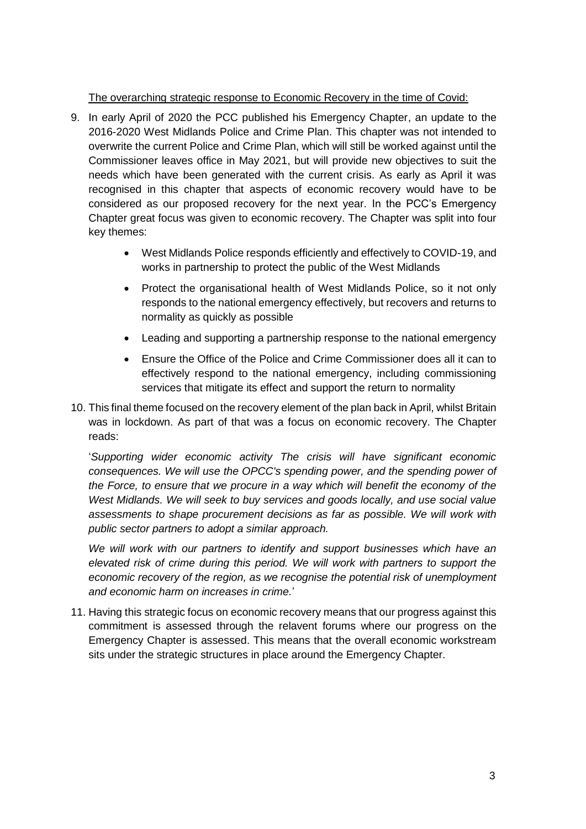### The overarching strategic response to Economic Recovery in the time of Covid:

- 9. In early April of 2020 the PCC published his Emergency Chapter, an update to the 2016-2020 West Midlands Police and Crime Plan. This chapter was not intended to overwrite the current Police and Crime Plan, which will still be worked against until the Commissioner leaves office in May 2021, but will provide new objectives to suit the needs which have been generated with the current crisis. As early as April it was recognised in this chapter that aspects of economic recovery would have to be considered as our proposed recovery for the next year. In the PCC's Emergency Chapter great focus was given to economic recovery. The Chapter was split into four key themes:
	- West Midlands Police responds efficiently and effectively to COVID-19, and works in partnership to protect the public of the West Midlands
	- Protect the organisational health of West Midlands Police, so it not only responds to the national emergency effectively, but recovers and returns to normality as quickly as possible
	- Leading and supporting a partnership response to the national emergency
	- Ensure the Office of the Police and Crime Commissioner does all it can to effectively respond to the national emergency, including commissioning services that mitigate its effect and support the return to normality
- 10. This final theme focused on the recovery element of the plan back in April, whilst Britain was in lockdown. As part of that was a focus on economic recovery. The Chapter reads:

'*Supporting wider economic activity The crisis will have significant economic consequences. We will use the OPCC's spending power, and the spending power of the Force, to ensure that we procure in a way which will benefit the economy of the West Midlands. We will seek to buy services and goods locally, and use social value assessments to shape procurement decisions as far as possible. We will work with public sector partners to adopt a similar approach.* 

We will work with our partners to identify and support businesses which have an *elevated risk of crime during this period. We will work with partners to support the economic recovery of the region, as we recognise the potential risk of unemployment and economic harm on increases in crime.*'

11. Having this strategic focus on economic recovery means that our progress against this commitment is assessed through the relavent forums where our progress on the Emergency Chapter is assessed. This means that the overall economic workstream sits under the strategic structures in place around the Emergency Chapter.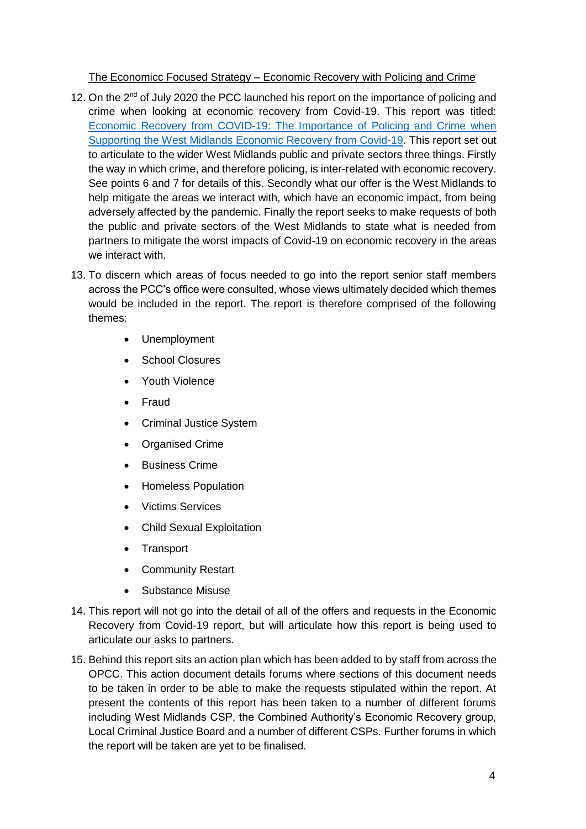The Economicc Focused Strategy – Economic Recovery with Policing and Crime

- 12. On the 2<sup>nd</sup> of July 2020 the PCC launched his report on the importance of policing and crime when looking at economic recovery from Covid-19. This report was titled: [Economic Recovery from COVID-19: The Importance of Policing and Crime when](https://www.westmidlands-pcc.gov.uk/pcc-launches-major-report-to-ensure-the-end-of-lockdown-doesnt-a-return-to-rising-crime/)  [Supporting the West Midlands Economic Recovery from Covid-19.](https://www.westmidlands-pcc.gov.uk/pcc-launches-major-report-to-ensure-the-end-of-lockdown-doesnt-a-return-to-rising-crime/) This report set out to articulate to the wider West Midlands public and private sectors three things. Firstly the way in which crime, and therefore policing, is inter-related with economic recovery. See points 6 and 7 for details of this. Secondly what our offer is the West Midlands to help mitigate the areas we interact with, which have an economic impact, from being adversely affected by the pandemic. Finally the report seeks to make requests of both the public and private sectors of the West Midlands to state what is needed from partners to mitigate the worst impacts of Covid-19 on economic recovery in the areas we interact with.
- 13. To discern which areas of focus needed to go into the report senior staff members across the PCC's office were consulted, whose views ultimately decided which themes would be included in the report. The report is therefore comprised of the following themes:
	- Unemployment
	- School Closures
	- Youth Violence
	- Fraud
	- Criminal Justice System
	- Organised Crime
	- Business Crime
	- Homeless Population
	- Victims Services
	- Child Sexual Exploitation
	- Transport
	- Community Restart
	- Substance Misuse
- 14. This report will not go into the detail of all of the offers and requests in the Economic Recovery from Covid-19 report, but will articulate how this report is being used to articulate our asks to partners.
- 15. Behind this report sits an action plan which has been added to by staff from across the OPCC. This action document details forums where sections of this document needs to be taken in order to be able to make the requests stipulated within the report. At present the contents of this report has been taken to a number of different forums including West Midlands CSP, the Combined Authority's Economic Recovery group, Local Criminal Justice Board and a number of different CSPs. Further forums in which the report will be taken are yet to be finalised.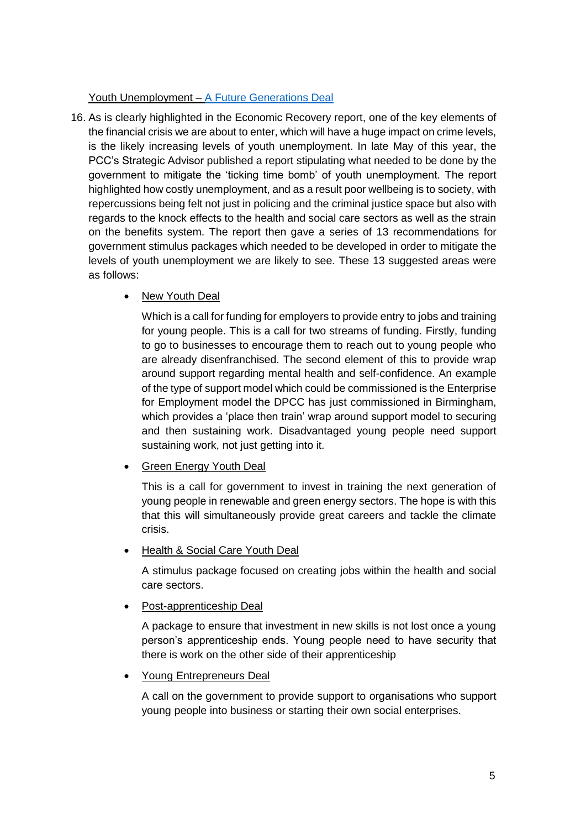## Youth Unemployment – [A Future Generations Deal](https://www.westmidlands-pcc.gov.uk/pcc-publishes-report-calling-for-a-future-generations-deal-to-avoid-the-ticking-time-bomb-of-youth-unemployment-and-crime-in-the-west-midlands/)

- 16. As is clearly highlighted in the Economic Recovery report, one of the key elements of the financial crisis we are about to enter, which will have a huge impact on crime levels, is the likely increasing levels of youth unemployment. In late May of this year, the PCC's Strategic Advisor published a report stipulating what needed to be done by the government to mitigate the 'ticking time bomb' of youth unemployment. The report highlighted how costly unemployment, and as a result poor wellbeing is to society, with repercussions being felt not just in policing and the criminal justice space but also with regards to the knock effects to the health and social care sectors as well as the strain on the benefits system. The report then gave a series of 13 recommendations for government stimulus packages which needed to be developed in order to mitigate the levels of youth unemployment we are likely to see. These 13 suggested areas were as follows:
	- New Youth Deal

Which is a call for funding for employers to provide entry to jobs and training for young people. This is a call for two streams of funding. Firstly, funding to go to businesses to encourage them to reach out to young people who are already disenfranchised. The second element of this to provide wrap around support regarding mental health and self-confidence. An example of the type of support model which could be commissioned is the Enterprise for Employment model the DPCC has just commissioned in Birmingham, which provides a 'place then train' wrap around support model to securing and then sustaining work. Disadvantaged young people need support sustaining work, not just getting into it.

#### • Green Energy Youth Deal

This is a call for government to invest in training the next generation of young people in renewable and green energy sectors. The hope is with this that this will simultaneously provide great careers and tackle the climate crisis.

Health & Social Care Youth Deal

A stimulus package focused on creating jobs within the health and social care sectors.

#### Post-apprenticeship Deal

A package to ensure that investment in new skills is not lost once a young person's apprenticeship ends. Young people need to have security that there is work on the other side of their apprenticeship

## • Young Entrepreneurs Deal

A call on the government to provide support to organisations who support young people into business or starting their own social enterprises.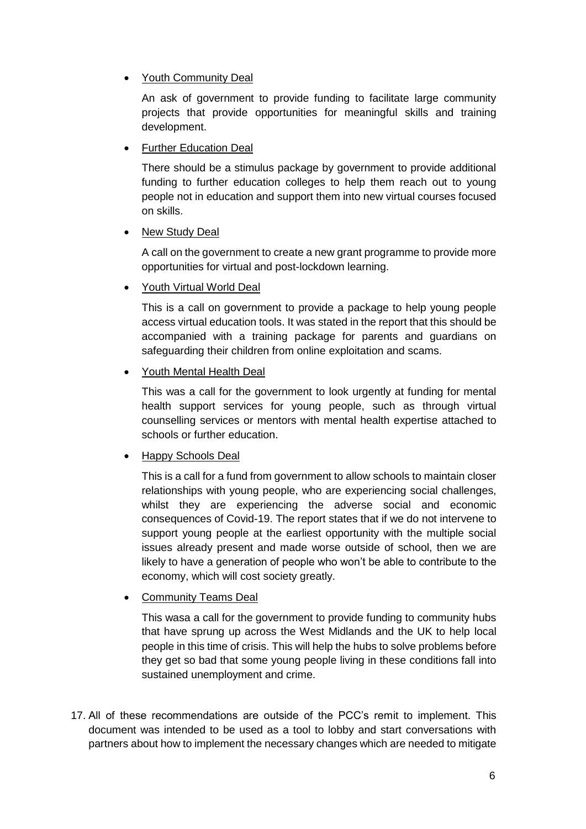## • Youth Community Deal

An ask of government to provide funding to facilitate large community projects that provide opportunities for meaningful skills and training development.

• Further Education Deal

There should be a stimulus package by government to provide additional funding to further education colleges to help them reach out to young people not in education and support them into new virtual courses focused on skills.

New Study Deal

A call on the government to create a new grant programme to provide more opportunities for virtual and post-lockdown learning.

Youth Virtual World Deal

This is a call on government to provide a package to help young people access virtual education tools. It was stated in the report that this should be accompanied with a training package for parents and guardians on safeguarding their children from online exploitation and scams.

Youth Mental Health Deal

This was a call for the government to look urgently at funding for mental health support services for young people, such as through virtual counselling services or mentors with mental health expertise attached to schools or further education.

## • Happy Schools Deal

This is a call for a fund from government to allow schools to maintain closer relationships with young people, who are experiencing social challenges, whilst they are experiencing the adverse social and economic consequences of Covid-19. The report states that if we do not intervene to support young people at the earliest opportunity with the multiple social issues already present and made worse outside of school, then we are likely to have a generation of people who won't be able to contribute to the economy, which will cost society greatly.

Community Teams Deal

This wasa a call for the government to provide funding to community hubs that have sprung up across the West Midlands and the UK to help local people in this time of crisis. This will help the hubs to solve problems before they get so bad that some young people living in these conditions fall into sustained unemployment and crime.

17. All of these recommendations are outside of the PCC's remit to implement. This document was intended to be used as a tool to lobby and start conversations with partners about how to implement the necessary changes which are needed to mitigate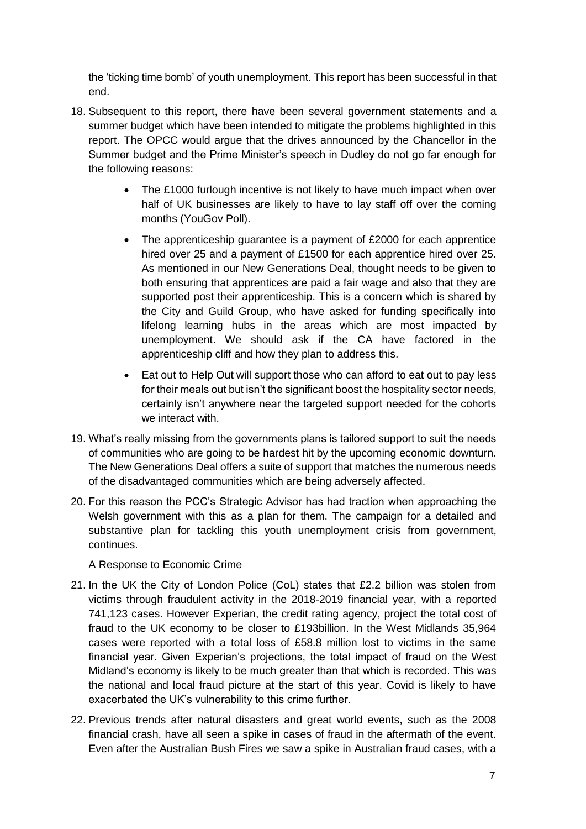the 'ticking time bomb' of youth unemployment. This report has been successful in that end.

- 18. Subsequent to this report, there have been several government statements and a summer budget which have been intended to mitigate the problems highlighted in this report. The OPCC would argue that the drives announced by the Chancellor in the Summer budget and the Prime Minister's speech in Dudley do not go far enough for the following reasons:
	- The £1000 furlough incentive is not likely to have much impact when over half of UK businesses are likely to have to lay staff off over the coming months (YouGov Poll).
	- The apprenticeship guarantee is a payment of £2000 for each apprentice hired over 25 and a payment of £1500 for each apprentice hired over 25. As mentioned in our New Generations Deal, thought needs to be given to both ensuring that apprentices are paid a fair wage and also that they are supported post their apprenticeship. This is a concern which is shared by the City and Guild Group, who have asked for funding specifically into lifelong learning hubs in the areas which are most impacted by unemployment. We should ask if the CA have factored in the apprenticeship cliff and how they plan to address this.
	- Eat out to Help Out will support those who can afford to eat out to pay less for their meals out but isn't the significant boost the hospitality sector needs, certainly isn't anywhere near the targeted support needed for the cohorts we interact with.
- 19. What's really missing from the governments plans is tailored support to suit the needs of communities who are going to be hardest hit by the upcoming economic downturn. The New Generations Deal offers a suite of support that matches the numerous needs of the disadvantaged communities which are being adversely affected.
- 20. For this reason the PCC's Strategic Advisor has had traction when approaching the Welsh government with this as a plan for them. The campaign for a detailed and substantive plan for tackling this youth unemployment crisis from government, continues.

## A Response to Economic Crime

- 21. In the UK the City of London Police (CoL) states that £2.2 billion was stolen from victims through fraudulent activity in the 2018-2019 financial year, with a reported 741,123 cases. However Experian, the credit rating agency, project the total cost of fraud to the UK economy to be closer to £193billion. In the West Midlands 35,964 cases were reported with a total loss of £58.8 million lost to victims in the same financial year. Given Experian's projections, the total impact of fraud on the West Midland's economy is likely to be much greater than that which is recorded. This was the national and local fraud picture at the start of this year. Covid is likely to have exacerbated the UK's vulnerability to this crime further.
- 22. Previous trends after natural disasters and great world events, such as the 2008 financial crash, have all seen a spike in cases of fraud in the aftermath of the event. Even after the Australian Bush Fires we saw a spike in Australian fraud cases, with a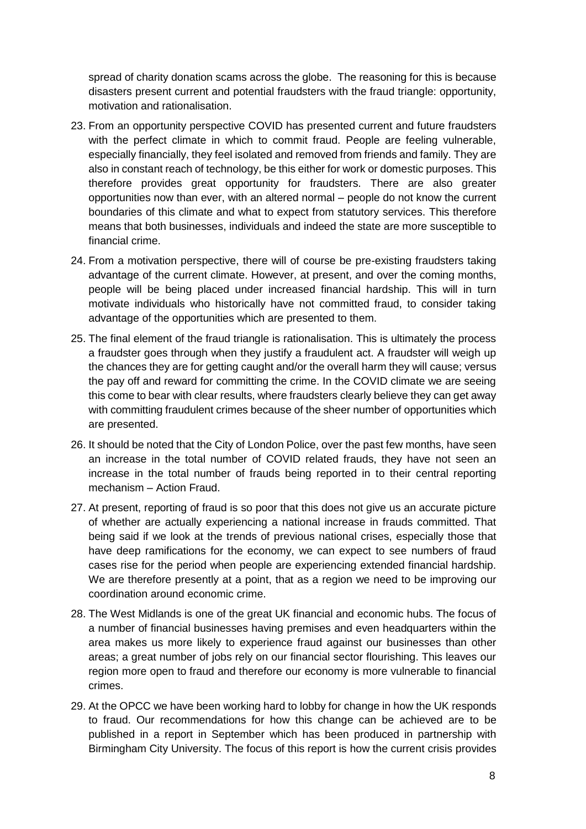spread of charity donation scams across the globe. The reasoning for this is because disasters present current and potential fraudsters with the fraud triangle: opportunity, motivation and rationalisation.

- 23. From an opportunity perspective COVID has presented current and future fraudsters with the perfect climate in which to commit fraud. People are feeling vulnerable, especially financially, they feel isolated and removed from friends and family. They are also in constant reach of technology, be this either for work or domestic purposes. This therefore provides great opportunity for fraudsters. There are also greater opportunities now than ever, with an altered normal – people do not know the current boundaries of this climate and what to expect from statutory services. This therefore means that both businesses, individuals and indeed the state are more susceptible to financial crime.
- 24. From a motivation perspective, there will of course be pre-existing fraudsters taking advantage of the current climate. However, at present, and over the coming months, people will be being placed under increased financial hardship. This will in turn motivate individuals who historically have not committed fraud, to consider taking advantage of the opportunities which are presented to them.
- 25. The final element of the fraud triangle is rationalisation. This is ultimately the process a fraudster goes through when they justify a fraudulent act. A fraudster will weigh up the chances they are for getting caught and/or the overall harm they will cause; versus the pay off and reward for committing the crime. In the COVID climate we are seeing this come to bear with clear results, where fraudsters clearly believe they can get away with committing fraudulent crimes because of the sheer number of opportunities which are presented.
- 26. It should be noted that the City of London Police, over the past few months, have seen an increase in the total number of COVID related frauds, they have not seen an increase in the total number of frauds being reported in to their central reporting mechanism – Action Fraud.
- 27. At present, reporting of fraud is so poor that this does not give us an accurate picture of whether are actually experiencing a national increase in frauds committed. That being said if we look at the trends of previous national crises, especially those that have deep ramifications for the economy, we can expect to see numbers of fraud cases rise for the period when people are experiencing extended financial hardship. We are therefore presently at a point, that as a region we need to be improving our coordination around economic crime.
- 28. The West Midlands is one of the great UK financial and economic hubs. The focus of a number of financial businesses having premises and even headquarters within the area makes us more likely to experience fraud against our businesses than other areas; a great number of jobs rely on our financial sector flourishing. This leaves our region more open to fraud and therefore our economy is more vulnerable to financial crimes.
- 29. At the OPCC we have been working hard to lobby for change in how the UK responds to fraud. Our recommendations for how this change can be achieved are to be published in a report in September which has been produced in partnership with Birmingham City University. The focus of this report is how the current crisis provides